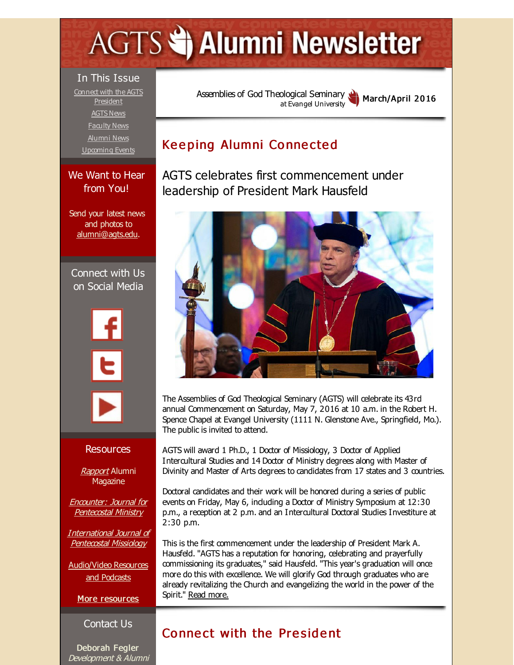# <span id="page-0-0"></span>**AGTS Statement Newsletter**

#### In This Issue

Connect with the AGTS [President](#page-0-0) [AGTS](#page-0-0) News [Faculty](#page-0-0) News [Alumni](#page-0-0) News [Upcoming](#page-0-0) Events

#### We Want to Hear from You!

Send your latest news and photos to [alumni@agts.edu](mailto:alumni@agts.edu).

Connect with Us on Social Media



#### Resources

**[Rapport](http://r20.rs6.net/tn.jsp?f=0013u88L2xq0QjP59-LWIgmx3pxkfHvq3Qekm4JksEw41IsDuKx6mvMj5ZkuyHtM-ua90Aztgg0JVx8TuK3U3rYA2nfUKmu5rbbhw_I1yzwMkRYesw8kMX2s56oh2e2WrC3f6ofGLpsGcBtE1tTSlAjXmualYeY_7dVnb2rRK7ZfyJyG18Q7qCicJJUDj6eZh8Y&c=&ch=)** Alumni **Magazine** 

Encounter: Journal for [Pentecostal](http://r20.rs6.net/tn.jsp?f=0013u88L2xq0QjP59-LWIgmx3pxkfHvq3Qekm4JksEw41IsDuKx6mvMj2tw5iHfZUr4YEkhrzY7Ht2m70q2mJciw8Cqye5J20ZAGueGGJNSfO53976s4w4VgZ_R9Q781723bkgtOxEOOr8aeG3JhrUYpveHawiHKjTLZTh3_Br8ap3qdYoCL-DxVflVldc4Vrg9&c=&ch=) Ministry

[International](http://r20.rs6.net/tn.jsp?f=0013u88L2xq0QjP59-LWIgmx3pxkfHvq3Qekm4JksEw41IsDuKx6mvMjyF-G5ApfUStCGy2waNNJ_lCOcndINAU83tShAr39sOqBpl_3JK5pC-Pj5pRteHQJIhyvXgk-lsMd5sKQrs8HjLoJzaV9gTwL4L6TGAmJd144EXYm7SUE_-f8a5dvIuJLFqscTS7LlnL&c=&ch=) Journal of Pentecostal Missiology

[Audio/Video](http://r20.rs6.net/tn.jsp?f=0013u88L2xq0QjP59-LWIgmx3pxkfHvq3Qekm4JksEw41IsDuKx6mvMj5-A9LyyZSSQi-R3X7MTmg3v6rBUKasv7LYAp9fAhTxfO0fgi-htza3aHuSklhxx6h49Q2LKm_UbnjljF4PeYDWpmkQfbmrGC8xzYzMJtxg0pcvaq_H_V-5di4rHZCxjmX9YnBLOgm3Q&c=&ch=) Resources and Podcasts

More [resources](http://r20.rs6.net/tn.jsp?f=0013u88L2xq0QjP59-LWIgmx3pxkfHvq3Qekm4JksEw41IsDuKx6mvMjw2BComSX1kWMlBu5rszEUIqqCOWa-CcZ5mF8rc6YgwdqGNBysdN2nYVeEd_8QXioUGb84aErHnBhcQMPDtnPnlzjm7Jm3YvWIGqrGSGMHG6amptm-E3r8W7iVb937-O87fAOuON4I3H4jH6m7Bbdtk=&c=&ch=)

#### Contact Us

Deborah Fegler Development & Alumni Assemblies of God [Theological](http://r20.rs6.net/tn.jsp?f=0013u88L2xq0QjP59-LWIgmx3pxkfHvq3Qekm4JksEw41IsDuKx6mvMj-4N0Abu9g1Vq5TIX5w2VB_yz4Z_izSKbRblHle9wYeKGXgwZ_u3101H_0HU4SsIqk9n7pZP8L6Nmk3SX8D-ZZ1lK64tNZCCoe5usmvKzvCP&c=&ch=) Seminary at Evangel University March/April 2016

# Keeping Alumni Connected

AGTS celebrates first commencement under leadership of President Mark Hausfeld



The Assemblies of God Theological Seminary (AGTS) will celebrate its 43rd annual Commencement on Saturday, May 7, 2016 at 10 a.m. in the Robert H. Spence Chapel at Evangel University (1111 N. Glenstone Ave., Springfield, Mo.). The public is invited to attend.

AGTS will award 1 Ph.D., 1 Doctor of Missiology, 3 Doctor of Applied Intercultural Studies and 14 Doctor of Ministry degrees along with Master of Divinity and Master of Arts degrees to candidates from 17 states and 3 countries.

Doctoral candidates and their work will be honored during a series of public events on Friday, May 6, induding a Doctor of Ministry Symposium at 12:30 p.m., a reception at 2 p.m. and an Intercultural Doctoral Studies Investiture at 2:30 p.m.

This is the first commencement under the leadership of President Mark A. Hausfeld. "AGTS has a reputation for honoring, celebrating and prayerfully commissioning its graduates," said Hausfeld. "This year's graduation will once more do this with excellence. We will glorify God through graduates who are already revitalizing the Church and evangelizing the world in the power of the Spirit." Read [more.](http://r20.rs6.net/tn.jsp?f=0013u88L2xq0QjP59-LWIgmx3pxkfHvq3Qekm4JksEw41IsDuKx6mvMj4C1n123M9hNdLzvUAQBoU7J-kKe6B046DksLpkkREG13sdAngY10di1rfQ6aCdbssVwUZycayC24boo7ywuEqvuJHsnBS35kbwZrv1nlqTsEz6E9zptxztAFzl9aKinQMjZXE49B_YOCQbXiyXFbkcbBVBpbdL5nxysrMbCb2Hqvx91wKfyOiMzEV1dboAFaQ==&c=&ch=)

# Connect with the President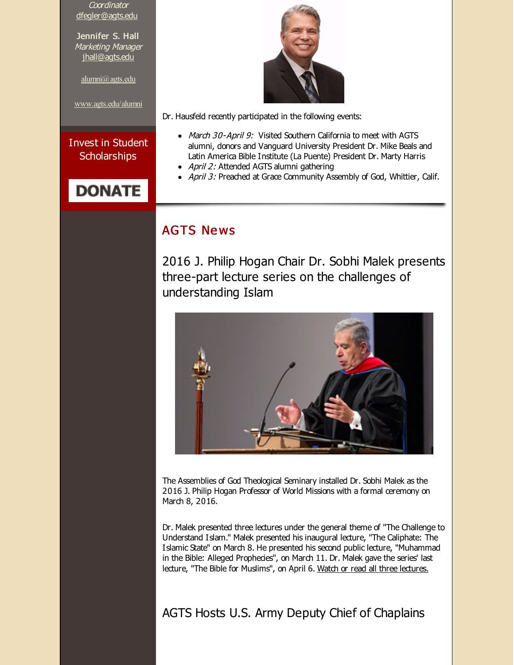**Coordinator** [dfegler@agts.edu](mailto:dfegler@agts.edu)

Jennifer S. Hall Marketing Manager [jhall@agts.edu](mailto:jhall@agts.edu)

[alumni@agts.edu](mailto:alumni@agts.edu)

[www.agts.edu/alumni](http://r20.rs6.net/tn.jsp?f=0013u88L2xq0QjP59-LWIgmx3pxkfHvq3Qekm4JksEw41IsDuKx6mvMj7-J3M9oVakHJvMaNT9gc0KngKRi540Ke7DAAWmyW1a72UUMDAgn3kOQZqYlygQzNQO9AV800yxlpUwuUJtwC4fU2qp7w1AcqjRfGSGrLqIlhehY2SOCnHifJBft5KDKRw==&c=&ch=)

Invest in Student **Scholarships** 

# **DONATE**



Dr. Hausfeld recently participated in the following events:

- March 30-April 9: Visited Southern California to meet with AGTS alumni, donors and Vanguard University President Dr. Mike Beals and Latin America Bible Institute (La Puente) President Dr. Marty Harris
- April 2: Attended AGTS alumni gathering
- April 3: Preached at Grace Community Assembly of God, Whittier, Calif.

## **AGTS News**

2016 J. Philip Hogan Chair Dr. Sobhi Malek presents three-part lecture series on the challenges of understanding Islam



The Assemblies of God Theological Seminary installed Dr. Sobhi Malek as the 2016 J. Philip Hogan Professor of World Missions with a formal ceremony on March 8, 2016.

Dr. Malek presented three lectures under the general theme of "The Challenge to Understand Islam." Malek presented his inaugural lecture, "The Caliphate: The Islamic State" on March 8. He presented his second public lecture, "Muhammad in the Bible: Alleged Prophecies", on March 11. Dr. Malek gave the series' last lecture, "The Bible for Muslims", on April 6. Watch or read all three [lectures.](http://r20.rs6.net/tn.jsp?f=0013u88L2xq0QjP59-LWIgmx3pxkfHvq3Qekm4JksEw41IsDuKx6mvMj4C1n123M9hNIac7KBCSBK_wpZanp8YeJpqsJrs2-e34zndc_r0Uk9BfnjPr6HNsCbjWSiXMLVB3OrhlQARdq9tv8PS9k47vomcxEIFPeMFJx61DJxjBAedz9fwx8KKDomvQozplORUXQTAKMsFxFzE-ofvfURhpE4xTEVNlU7DBxlPVIdtt1zo=&c=&ch=)

AGTS Hosts U.S. Army Deputy Chief of Chaplains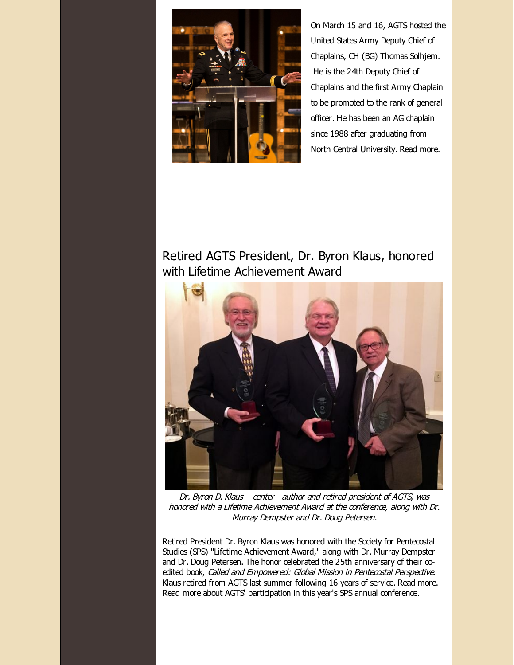

On March 15 and 16, AGTS hosted the United States Army Deputy Chief of Chaplains, CH (BG) Thomas Solhjem. He is the 24th Deputy Chief of Chaplains and the first Army Chaplain to be promoted to the rank of general officer. He has been an AG chaplain since 1988 after graduating from North Central University. Read [more.](http://r20.rs6.net/tn.jsp?f=0013u88L2xq0QjP59-LWIgmx3pxkfHvq3Qekm4JksEw41IsDuKx6mvMjzda433heL4JnNy76Lu8kARwP-b6AOskbHLzazFjQ1SaWW8sHVd_5bfnTeGYMuwwrd57-QqWvbRRhE9QJvWv7HGbvZ1a6Hkjr0fVZXk2FLov3Hj-df1bkjU5Q3-wiYmLrG42YrXNVsWQlZSV3OuR1pzMGKbRv0lErNtinJi7kfY8We6AqqbZgPwFaAqSV63mQeBia_8_jyxD&c=&ch=)

# Retired AGTS President, Dr. Byron Klaus, honored with Lifetime Achievement Award



Dr. Byron D. Klaus --center--author and retired president of AGTS, was honored with <sup>a</sup> Lifetime Achievement Award at the conference, along with Dr. Murray Dempster and Dr. Doug Petersen.

Retired President Dr. Byron Klaus was honored with the Society for Pentecostal Studies (SPS) "Lifetime Achievement Award," along with Dr. Murray Dempster and Dr. Doug Petersen. The honor celebrated the 25th anniversary of their coedited book, Called and Empowered: Global Mission in Pentecostal Perspective. Klaus retired from AGTS last summer following 16 years of service. Read more. [Read](http://r20.rs6.net/tn.jsp?f=0013u88L2xq0QjP59-LWIgmx3pxkfHvq3Qekm4JksEw41IsDuKx6mvMjzpYkQoETFHqQM0HXZhC6AJkC8sRuSwMin5glbWs4X5spRys-PbKAPLBkZOGgBlRxrZDRVu2BV7b9UqQRb1aQWYEcM2qm374zk73annFL2gDJlGOPXmXTwK84Lgj0TPuqN8IODnT8YdBxZe-T6SwxrkWwsZxU5_S3uK50cA32rqmiiozMBDMnI0=&c=&ch=) more about AGTS' participation in this year's SPS annual conference.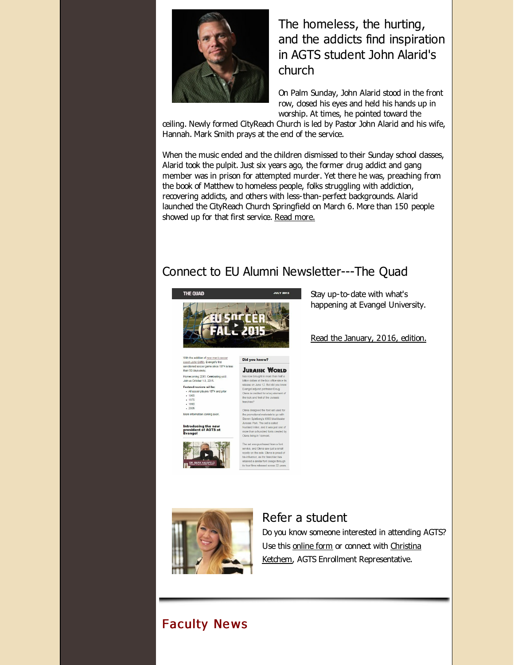

The homeless, the hurting, and the addicts find inspiration in AGTS student John Alarid's church

On Palm Sunday, John Alarid stood in the front row, dosed his eyes and held his hands up in worship. At times, he pointed toward the

ceiling. Newly formed CityReach Church is led by Pastor John Alarid and his wife, Hannah. Mark Smith prays at the end of the service.

When the music ended and the children dismissed to their Sunday school dasses, Alarid took the pulpit. Just six years ago, the former drug addict and gang member was in prison for attempted murder. Yet there he was, preaching from the book of Matthew to homeless people, folks struggling with addiction, recovering addicts, and others with less-than-perfect backgrounds. Alarid launched the CityReach Church Springfield on March 6. More than 150 people showed up for that first service. Read [more.](http://r20.rs6.net/tn.jsp?f=0013u88L2xq0QjP59-LWIgmx3pxkfHvq3Qekm4JksEw41IsDuKx6mvMj4C1n123M9hNChVT45jWQf5GiJ7quRBQoAhzZZMwQHJKAurdnL3byjiG2tvLCmUDxkqbeGf2KozUx5_DIgrg1XMHw5YsAFCdI4p5j2HgGzOCFb_CQlIgIEEh8KYuAiEaacH8Q_Dc8DH9YCBwc9wJH58dKPXht_YsS5kdNREa9yu5fy47uo4e1ikfQChktJUOvtI-wOkzz-lKjFxcrZ3rGQ8=&c=&ch=)

# Connect to EU Alumni Newsletter---The Quad



With the addition of <u>new men's soccer</u><br><u>coach John Griffin,</u> Evangel's first<br>sanctioned soccer game since 1974 is less<br>than 50 days away. .<br>Homecoming 2015: Celebrating yoU<br>Join us October 1-3, 2015. Featured reunions will be: All soccer players 1974 and prior - All soc<br>- 1965<br>- 1975<br>- 1990<br>- 2005

More information coming soon.

Introducing the new<br>president of AGTS at



ited for a key eler

Did you know? **JURASSIC WORLD**  Stay up-to-date with what's happening at Evangel University.

Read the [January,](http://r20.rs6.net/tn.jsp?f=0013u88L2xq0QjP59-LWIgmx3pxkfHvq3Qekm4JksEw41IsDuKx6mvMjzjd7b12z4toflmAWDugZFomkHGy0i5rPHfTR464iej3oGXJZ_oV_ZkYLgCCox8Q7RhTsvRkG5dSeBhbJsrpFSfSZQPKNv9J4lJv2wpX492GTfVmAg823Pw-koIIDEE1DHJl7_Q0wd0ODQdBRa8ZN8k2fHFzUFOkY59dJ51CqAnW&c=&ch=) 2016, edition.



## Refer a student

Do you know someone interested in attending AGTS? Use this [online](http://r20.rs6.net/tn.jsp?f=0013u88L2xq0QjP59-LWIgmx3pxkfHvq3Qekm4JksEw41IsDuKx6mvMj2TiRzYw1GrolSDu6bPihERU9OVsok9bahSYRkqgDI1_jw5pPCqG0Ivyf1p1_UCBY30VWpC0vhrYfpDCaTbei9QTHIdRfxjgZqgmmPW14LXnx7XLQ9RT7IEgUUxlkKz_B0jy9IbWLF3j&c=&ch=) form or connect with Christina Ketchem, AGTS Enrollment [Representative.](mailto:cketchem@evangel.edu)

# **Faculty News**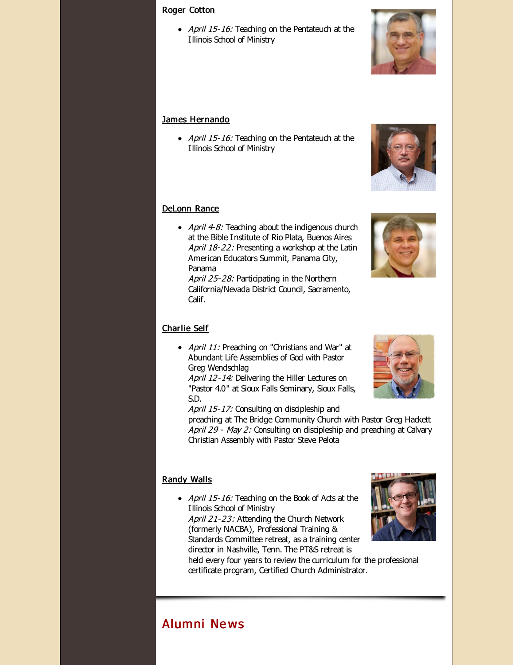#### Roger [Cotton](http://r20.rs6.net/tn.jsp?f=0013u88L2xq0QjP59-LWIgmx3pxkfHvq3Qekm4JksEw41IsDuKx6mvMjytGoC2RgLpp3N9ykwAgY_lWlyWLUo5XdMR0tnIDH47u686Ed9X_H7yihbjQIAH2XpeufU-i39hI7QBZqzu5CkxqhDvb5nmMteg5KQHaHlV7cPeiuFt5UmzSMShYsBWTMo5tHgvPJ7eI&c=&ch=)

• April 15-16: Teaching on the Pentateuch at the Illinois School of Ministry

#### James [Hernando](http://r20.rs6.net/tn.jsp?f=0013u88L2xq0QjP59-LWIgmx3pxkfHvq3Qekm4JksEw41IsDuKx6mvMj8b-fQMcimmucGBqU5SZYZXn_NxS6yzvfNzENMezZ7d48Cbm1qR7SaedQ8UQtyOpmwEu1ef5hdJyqYNhIMkd2C78rYIpgia4kMq3P-YrvZb-gr-W8okhvLsVpuGlb3nunwhz4KqDbxS6&c=&ch=)

• April 15-16: Teaching on the Pentateuch at the Illinois School of Ministry

#### [DeLonn](http://r20.rs6.net/tn.jsp?f=0013u88L2xq0QjP59-LWIgmx3pxkfHvq3Qekm4JksEw41IsDuKx6mvMj8b-fQMcimmurpTIH8WAQFJhvF3c5ibpzrFnJCIImDHVFaDzrj2p0C2FfsgGMi1socFQuN8RNOTGEB1fnqA4JjsKBW9mXZf7pZaqcOd1CN1i9lm0lXmtMzgL7XTXjElmV0dnXxxbixhX&c=&ch=) Rance

• April  $4-8$ : Teaching about the indigenous church at the Bible Institute of Rio Plata, Buenos Aires April 18-22: Presenting a workshop at the Latin American Educators Summit, Panama City, Panama

April 25-28: Participating in the Northern California/Nevada District Council, Sacramento, Calif.

#### [Charlie](http://r20.rs6.net/tn.jsp?f=0013u88L2xq0QjP59-LWIgmx3pxkfHvq3Qekm4JksEw41IsDuKx6mvMj8pDHVXX214QgcVzYFqELoUtmbC-KOW0-so543dTo3jrdrfCUOpVoqWHgCRbQX4-5QVSE0Nr1IIA_0ztyfzCNT4T2rA5gk_hEkd9e_rVU7frePWyca7J-lO_WFlfBaPD52ejIIDLG-Y_&c=&ch=) Self

• April 11: Preaching on "Christians and War" at Abundant Life Assemblies of God with Pastor Greg Wendschlag

April 12-14: Delivering the Hiller Lectures on "Pastor 4.0" at Sioux Falls Seminary, Sioux Falls, S.D.

April 15-17: Consulting on discipleship and preaching at The Bridge Community Church with Pastor Greg Hackett April 29 - May 2: Consulting on discipleship and preaching at Calvary Christian Assembly with Pastor Steve Pelota

#### [Randy](http://r20.rs6.net/tn.jsp?f=0013u88L2xq0QjP59-LWIgmx3pxkfHvq3Qekm4JksEw41IsDuKx6mvMjzjd7b12z4toKykUQX1Gvm0UbZVmzYCXo9y2cPAWghYcbcvtBFJqgq_21BC-mHY-wLOxqoVda9p30GEm1zbUBmQ4HWaZlPhYob8uRIHoVLwFbjt3SYsv87bzcFon92ks74k4rv-i5HmU&c=&ch=) Walls

• April 15-16: Teaching on the Book of Acts at the Illinois School of Ministry April 21-23: Attending the Church Network (formerly NACBA), Professional Training & Standards Committee retreat, as a training center director in Nashville, Tenn. The PT&S retreat is held every four years to review the curriculum for the professional

certificate program, Certified Church Administrator.

# Alumni Ne ws









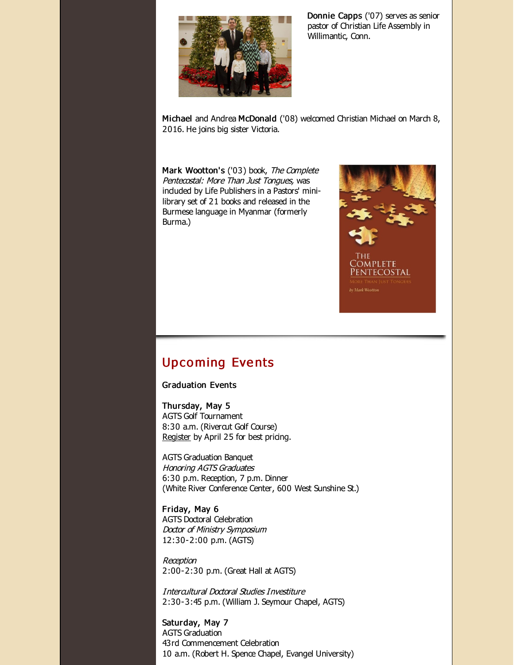

Donnie Capps ('07) serves as senior pastor of Christian Life Assembly in Willimantic, Conn.

Michael and Andrea McDonald ('08) welcomed Christian Michael on March 8, 2016. He joins big sister Victoria.

Mark Wootton's ('03) book, The Complete Pentecostal: More Than Just Tongues, was induded by Life Publishers in a Pastors' minilibrary set of 21 books and released in the Burmese language in Myanmar (formerly Burma.)



Upco ming Eve nts

Graduation Events

Thursday, May 5 AGTS Golf Tournament 8:30 a.m. (Rivercut Golf Course) [Register](http://r20.rs6.net/tn.jsp?f=0013u88L2xq0QjP59-LWIgmx3pxkfHvq3Qekm4JksEw41IsDuKx6mvMj9dZzwi5bazsGXRNuDJ_REefh4n3VX0pI8fGpKbOECo3SXWr6AOCbRidCuvoJ2Z1MKquY6kjYJdvmgHm7quY9VC0IOH-zMQl0-nXA6geyqDNm8A62LpVXMf_MD2BmscLPOYJ_VMArAHb_KeFUh81utM=&c=&ch=) by April 25 for best pricing.

AGTS Graduation Banquet Honoring AGTS Graduates 6:30 p.m. Reception, 7 p.m. Dinner (White River Conference Center, 600 West Sunshine St.)

Friday, May 6 AGTS Doctoral Celebration Doctor of Ministry Symposium 12:30-2:00 p.m. (AGTS)

Reception 2:00-2:30 p.m. (Great Hall at AGTS)

Intercultural Doctoral Studies Investiture 2:30-3:45 p.m. (William J. Seymour Chapel, AGTS)

Saturday, May 7 AGTS Graduation 43rd Commencement Celebration 10 a.m. (Robert H. Spence Chapel, Evangel University)